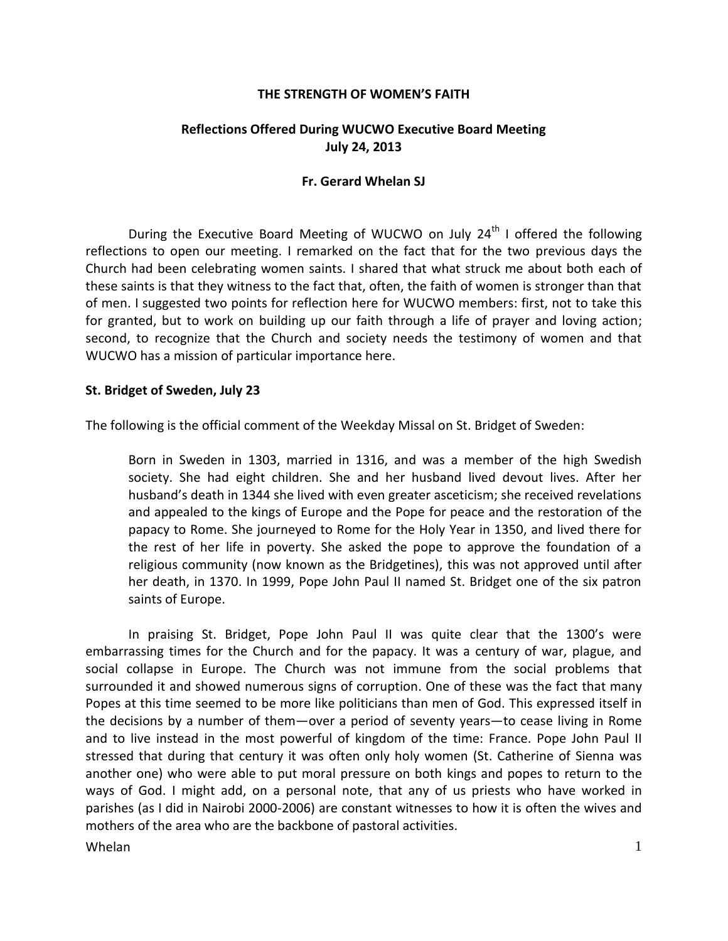### **THE STRENGTH OF WOMEN'S FAITH**

# **Reflections Offered During WUCWO Executive Board Meeting July 24, 2013**

#### **Fr. Gerard Whelan SJ**

During the Executive Board Meeting of WUCWO on July  $24<sup>th</sup>$  I offered the following reflections to open our meeting. I remarked on the fact that for the two previous days the Church had been celebrating women saints. I shared that what struck me about both each of these saints is that they witness to the fact that, often, the faith of women is stronger than that of men. I suggested two points for reflection here for WUCWO members: first, not to take this for granted, but to work on building up our faith through a life of prayer and loving action; second, to recognize that the Church and society needs the testimony of women and that WUCWO has a mission of particular importance here.

## **St. Bridget of Sweden, July 23**

The following is the official comment of the Weekday Missal on St. Bridget of Sweden:

Born in Sweden in 1303, married in 1316, and was a member of the high Swedish society. She had eight children. She and her husband lived devout lives. After her husband's death in 1344 she lived with even greater asceticism; she received revelations and appealed to the kings of Europe and the Pope for peace and the restoration of the papacy to Rome. She journeyed to Rome for the Holy Year in 1350, and lived there for the rest of her life in poverty. She asked the pope to approve the foundation of a religious community (now known as the Bridgetines), this was not approved until after her death, in 1370. In 1999, Pope John Paul II named St. Bridget one of the six patron saints of Europe.

In praising St. Bridget, Pope John Paul II was quite clear that the 1300's were embarrassing times for the Church and for the papacy. It was a century of war, plague, and social collapse in Europe. The Church was not immune from the social problems that surrounded it and showed numerous signs of corruption. One of these was the fact that many Popes at this time seemed to be more like politicians than men of God. This expressed itself in the decisions by a number of them—over a period of seventy years—to cease living in Rome and to live instead in the most powerful of kingdom of the time: France. Pope John Paul II stressed that during that century it was often only holy women (St. Catherine of Sienna was another one) who were able to put moral pressure on both kings and popes to return to the ways of God. I might add, on a personal note, that any of us priests who have worked in parishes (as I did in Nairobi 2000-2006) are constant witnesses to how it is often the wives and mothers of the area who are the backbone of pastoral activities.

Whelan  $1$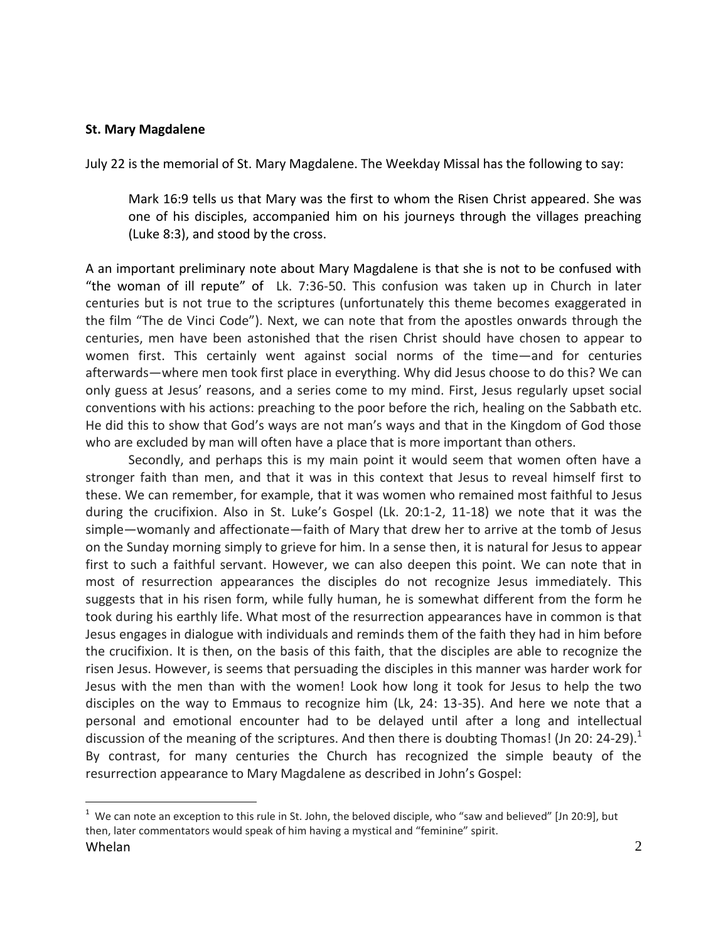### **St. Mary Magdalene**

July 22 is the memorial of St. Mary Magdalene. The Weekday Missal has the following to say:

Mark 16:9 tells us that Mary was the first to whom the Risen Christ appeared. She was one of his disciples, accompanied him on his journeys through the villages preaching (Luke 8:3), and stood by the cross.

A an important preliminary note about Mary Magdalene is that she is not to be confused with "the woman of ill repute" of Lk. 7:36-50. This confusion was taken up in Church in later centuries but is not true to the scriptures (unfortunately this theme becomes exaggerated in the film "The de Vinci Code"). Next, we can note that from the apostles onwards through the centuries, men have been astonished that the risen Christ should have chosen to appear to women first. This certainly went against social norms of the time—and for centuries afterwards—where men took first place in everything. Why did Jesus choose to do this? We can only guess at Jesus' reasons, and a series come to my mind. First, Jesus regularly upset social conventions with his actions: preaching to the poor before the rich, healing on the Sabbath etc. He did this to show that God's ways are not man's ways and that in the Kingdom of God those who are excluded by man will often have a place that is more important than others.

Secondly, and perhaps this is my main point it would seem that women often have a stronger faith than men, and that it was in this context that Jesus to reveal himself first to these. We can remember, for example, that it was women who remained most faithful to Jesus during the crucifixion. Also in St. Luke's Gospel (Lk. 20:1-2, 11-18) we note that it was the simple—womanly and affectionate—faith of Mary that drew her to arrive at the tomb of Jesus on the Sunday morning simply to grieve for him. In a sense then, it is natural for Jesus to appear first to such a faithful servant. However, we can also deepen this point. We can note that in most of resurrection appearances the disciples do not recognize Jesus immediately. This suggests that in his risen form, while fully human, he is somewhat different from the form he took during his earthly life. What most of the resurrection appearances have in common is that Jesus engages in dialogue with individuals and reminds them of the faith they had in him before the crucifixion. It is then, on the basis of this faith, that the disciples are able to recognize the risen Jesus. However, is seems that persuading the disciples in this manner was harder work for Jesus with the men than with the women! Look how long it took for Jesus to help the two disciples on the way to Emmaus to recognize him (Lk, 24: 13-35). And here we note that a personal and emotional encounter had to be delayed until after a long and intellectual discussion of the meaning of the scriptures. And then there is doubting Thomas! (Jn 20: 24-29).<sup>1</sup> By contrast, for many centuries the Church has recognized the simple beauty of the resurrection appearance to Mary Magdalene as described in John's Gospel:

 $\overline{a}$ 

Whelan  $\sim$  2  $1$  We can note an exception to this rule in St. John, the beloved disciple, who "saw and believed" [Jn 20:9], but then, later commentators would speak of him having a mystical and "feminine" spirit.